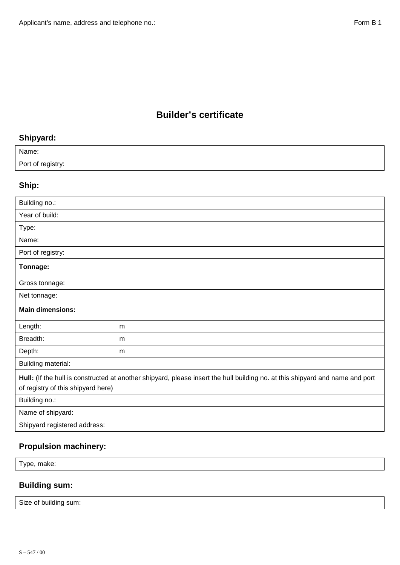#### **Builder's certificate**

# **Shipyard:**

| Name:             |  |
|-------------------|--|
| Port of registry: |  |

# **Ship:**

| Building no.:                                                                                                                                                       |   |  |  |  |
|---------------------------------------------------------------------------------------------------------------------------------------------------------------------|---|--|--|--|
| Year of build:                                                                                                                                                      |   |  |  |  |
| Type:                                                                                                                                                               |   |  |  |  |
| Name:                                                                                                                                                               |   |  |  |  |
| Port of registry:                                                                                                                                                   |   |  |  |  |
| Tonnage:                                                                                                                                                            |   |  |  |  |
| Gross tonnage:                                                                                                                                                      |   |  |  |  |
| Net tonnage:                                                                                                                                                        |   |  |  |  |
| <b>Main dimensions:</b>                                                                                                                                             |   |  |  |  |
| Length:                                                                                                                                                             | m |  |  |  |
| Breadth:                                                                                                                                                            | m |  |  |  |
| Depth:                                                                                                                                                              | m |  |  |  |
| Building material:                                                                                                                                                  |   |  |  |  |
| Hull: (If the hull is constructed at another shipyard, please insert the hull building no. at this shipyard and name and port<br>of registry of this shipyard here) |   |  |  |  |
| Building no.:                                                                                                                                                       |   |  |  |  |
| Name of shipyard:                                                                                                                                                   |   |  |  |  |
| Shipyard registered address:                                                                                                                                        |   |  |  |  |
|                                                                                                                                                                     |   |  |  |  |

## **Propulsion machinery:**

| Type, make: |  |  |
|-------------|--|--|
|             |  |  |

## **Building sum:**

| Size of building.<br>י sum.<br>ີ |  |
|----------------------------------|--|
|----------------------------------|--|